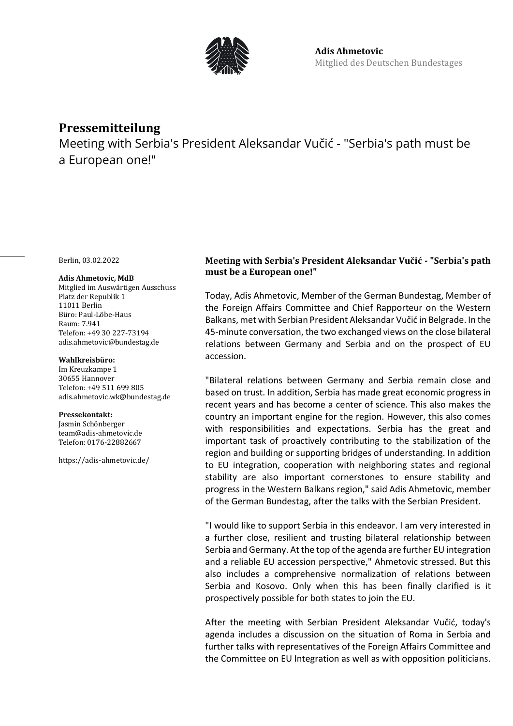

# **Pressemitteilung**

Meeting with Serbia's President Aleksandar Vučić - "Serbia's path must be a European one!"

Berlin, 03.02.2022

#### **Adis Ahmetovic, MdB**

Mitglied im Auswärtigen Ausschuss Platz der Republik 1 11011 Berlin Büro: Paul-Löbe-Haus Raum: 7.941 Telefon: +49 30 227-73194 adis.ahmetovic@bundestag.de

### **Wahlkreisbüro:**

Im Kreuzkampe 1 30655 Hannover Telefon: +49 511 699 805 [adis.ahmetovic.wk@bundestag.de](mailto:adis.ahmetovic.wk@bundestag.de)

#### **Pressekontakt:**

Jasmin Schönberger team@adis-ahmetovic.de Telefon[: 0176-22882667](mailto:adis.ahmetovic.wk@bundestag.de)

<https://adis-ahmetovic.de/>

## **Meeting with Serbia's President Aleksandar Vučić - "Serbia's path must be a European one!"**

Today, Adis Ahmetovic, Member of the German Bundestag, Member of the Foreign Affairs Committee and Chief Rapporteur on the Western Balkans, met with Serbian President Aleksandar Vučić in Belgrade. In the 45-minute conversation, the two exchanged views on the close bilateral relations between Germany and Serbia and on the prospect of EU accession.

"Bilateral relations between Germany and Serbia remain close and based on trust. In addition, Serbia has made great economic progress in recent years and has become a center of science. This also makes the country an important engine for the region. However, this also comes with responsibilities and expectations. Serbia has the great and important task of proactively contributing to the stabilization of the region and building or supporting bridges of understanding. In addition to EU integration, cooperation with neighboring states and regional stability are also important cornerstones to ensure stability and progress in the Western Balkans region," said Adis Ahmetovic, member of the German Bundestag, after the talks with the Serbian President.

"I would like to support Serbia in this endeavor. I am very interested in a further close, resilient and trusting bilateral relationship between Serbia and Germany. At the top of the agenda are further EU integration and a reliable EU accession perspective," Ahmetovic stressed. But this also includes a comprehensive normalization of relations between Serbia and Kosovo. Only when this has been finally clarified is it prospectively possible for both states to join the EU.

After the meeting with Serbian President Aleksandar Vučić, today's agenda includes a discussion on the situation of Roma in Serbia and further talks with representatives of the Foreign Affairs Committee and the Committee on EU Integration as well as with opposition politicians.